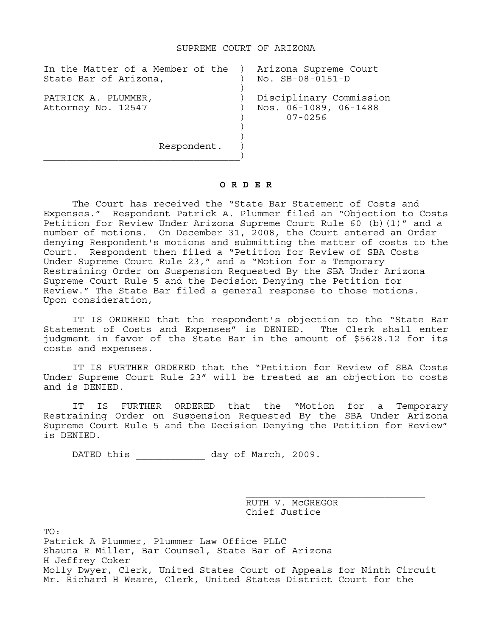| In the Matter of a Member of the ) Arizona Supreme Court<br>State Bar of Arizona, | No. SB-08-0151-D                                                |
|-----------------------------------------------------------------------------------|-----------------------------------------------------------------|
| PATRICK A. PLUMMER,<br>Attorney No. 12547                                         | Disciplinary Commission<br>Nos. 06-1089, 06-1488<br>$07 - 0256$ |
| Respondent.                                                                       |                                                                 |

## **O R D E R**

 The Court has received the "State Bar Statement of Costs and Expenses." Respondent Patrick A. Plummer filed an "Objection to Costs Petition for Review Under Arizona Supreme Court Rule 60 (b)(1)" and a number of motions. On December 31, 2008, the Court entered an Order denying Respondent's motions and submitting the matter of costs to the Court. Respondent then filed a "Petition for Review of SBA Costs Under Supreme Court Rule 23," and a "Motion for a Temporary Restraining Order on Suspension Requested By the SBA Under Arizona Supreme Court Rule 5 and the Decision Denying the Petition for Review." The State Bar filed a general response to those motions. Upon consideration,

IT IS ORDERED that the respondent's objection to the "State Bar Statement of Costs and Expenses" is DENIED. The Clerk shall enter judgment in favor of the State Bar in the amount of \$5628.12 for its costs and expenses.

IT IS FURTHER ORDERED that the "Petition for Review of SBA Costs Under Supreme Court Rule 23" will be treated as an objection to costs and is DENIED.

IT IS FURTHER ORDERED that the "Motion for a Temporary Restraining Order on Suspension Requested By the SBA Under Arizona Supreme Court Rule 5 and the Decision Denying the Petition for Review" is DENIED.

DATED this  $\qquad \qquad$  day of March, 2009.

 RUTH V. McGREGOR Chief Justice

TO: Patrick A Plummer, Plummer Law Office PLLC Shauna R Miller, Bar Counsel, State Bar of Arizona H Jeffrey Coker Molly Dwyer, Clerk, United States Court of Appeals for Ninth Circuit Mr. Richard H Weare, Clerk, United States District Court for the